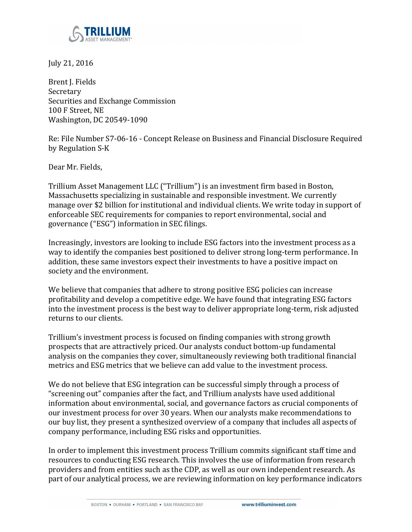

July 21, 2016

Brent J. Fields Secretary Securities and Exchange Commission 100 F Street, NE Washington, DC 20549-1090

Re: File Number S7-06-16 - Concept Release on Business and Financial Disclosure Required by Regulation S-K

Dear Mr. Fields,

Trillium Asset Management LLC ("Trillium") is an investment firm based in Boston, Massachusetts specializing in sustainable and responsible investment. We currently manage over \$2 billion for institutional and individual clients. We write today in support of enforceable SEC requirements for companies to report environmental, social and governance ("ESG") information in SEC filings.

Increasingly, investors are looking to include ESG factors into the investment process as a way to identify the companies best positioned to deliver strong long-term performance. In addition, these same investors expect their investments to have a positive impact on society and the environment.

We believe that companies that adhere to strong positive ESG policies can increase profitability and develop a competitive edge. We have found that integrating ESG factors into the investment process is the best way to deliver appropriate long-term, risk adjusted returns to our clients.

Trillium's investment process is focused on finding companies with strong growth prospects that are attractively priced. Our analysts conduct bottom-up fundamental analysis on the companies they cover, simultaneously reviewing both traditional financial metrics and ESG metrics that we believe can add value to the investment process.

We do not believe that ESG integration can be successful simply through a process of "screening out" companies after the fact, and Trillium analysts have used additional information about environmental, social, and governance factors as crucial components of our investment process for over 30 years. When our analysts make recommendations to our buy list, they present a synthesized overview of a company that includes all aspects of company performance, including ESG risks and opportunities.

In order to implement this investment process Trillium commits significant staff time and resources to conducting ESG research. This involves the use of information from research providers and from entities such as the CDP, as well as our own independent research. As part of our analytical process, we are reviewing information on key performance indicators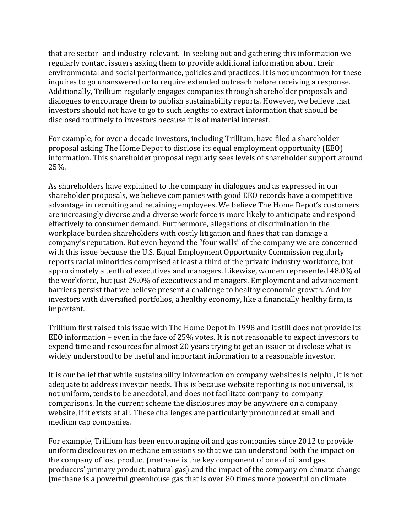that are sector- and industry-relevant. In seeking out and gathering this information we regularly contact issuers asking them to provide additional information about their environmental and social performance, policies and practices. It is not uncommon for these inquires to go unanswered or to require extended outreach before receiving a response. Additionally, Trillium regularly engages companies through shareholder proposals and dialogues to encourage them to publish sustainability reports. However, we believe that investors should not have to go to such lengths to extract information that should be disclosed routinely to investors because it is of material interest.

For example, for over a decade investors, including Trillium, have filed a shareholder proposal asking The Home Depot to disclose its equal employment opportunity (EEO) information. This shareholder proposal regularly sees levels of shareholder support around 25%. 

As shareholders have explained to the company in dialogues and as expressed in our shareholder proposals, we believe companies with good EEO records have a competitive advantage in recruiting and retaining employees. We believe The Home Depot's customers are increasingly diverse and a diverse work force is more likely to anticipate and respond effectively to consumer demand. Furthermore, allegations of discrimination in the workplace burden shareholders with costly litigation and fines that can damage a company's reputation. But even beyond the "four walls" of the company we are concerned with this issue because the U.S. Equal Employment Opportunity Commission regularly reports racial minorities comprised at least a third of the private industry workforce, but approximately a tenth of executives and managers. Likewise, women represented 48.0% of the workforce, but just 29.0% of executives and managers. Employment and advancement barriers persist that we believe present a challenge to healthy economic growth. And for investors with diversified portfolios, a healthy economy, like a financially healthy firm, is important.

Trillium first raised this issue with The Home Depot in 1998 and it still does not provide its EEO information – even in the face of  $25%$  votes. It is not reasonable to expect investors to expend time and resources for almost 20 years trying to get an issuer to disclose what is widely understood to be useful and important information to a reasonable investor.

It is our belief that while sustainability information on company websites is helpful, it is not adequate to address investor needs. This is because website reporting is not universal, is not uniform, tends to be anecdotal, and does not facilitate company-to-company comparisons. In the current scheme the disclosures may be anywhere on a company website, if it exists at all. These challenges are particularly pronounced at small and medium cap companies.

For example, Trillium has been encouraging oil and gas companies since 2012 to provide uniform disclosures on methane emissions so that we can understand both the impact on the company of lost product (methane is the key component of one of oil and gas producers' primary product, natural gas) and the impact of the company on climate change (methane is a powerful greenhouse gas that is over 80 times more powerful on climate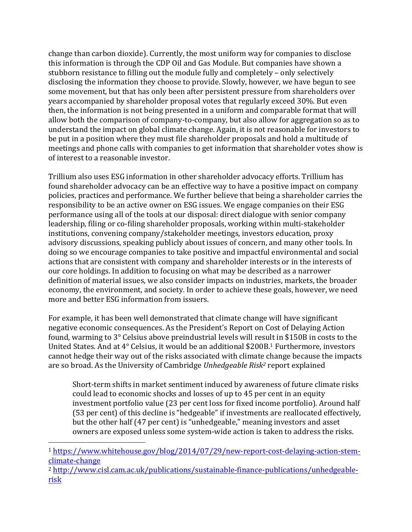change than carbon dioxide). Currently, the most uniform way for companies to disclose this information is through the CDP Oil and Gas Module. But companies have shown a stubborn resistance to filling out the module fully and completely - only selectively disclosing the information they choose to provide. Slowly, however, we have begun to see some movement, but that has only been after persistent pressure from shareholders over years accompanied by shareholder proposal votes that regularly exceed 30%. But even then, the information is not being presented in a uniform and comparable format that will allow both the comparison of company-to-company, but also allow for aggregation so as to understand the impact on global climate change. Again, it is not reasonable for investors to be put in a position where they must file shareholder proposals and hold a multitude of meetings and phone calls with companies to get information that shareholder votes show is of interest to a reasonable investor.

Trillium also uses ESG information in other shareholder advocacy efforts. Trillium has found shareholder advocacy can be an effective way to have a positive impact on company policies, practices and performance. We further believe that being a shareholder carries the responsibility to be an active owner on ESG issues. We engage companies on their ESG performance using all of the tools at our disposal: direct dialogue with senior company leadership, filing or co-filing shareholder proposals, working within multi-stakeholder institutions, convening company/stakeholder meetings, investors education, proxy advisory discussions, speaking publicly about issues of concern, and many other tools. In doing so we encourage companies to take positive and impactful environmental and social actions that are consistent with company and shareholder interests or in the interests of our core holdings. In addition to focusing on what may be described as a narrower definition of material issues, we also consider impacts on industries, markets, the broader economy, the environment, and society. In order to achieve these goals, however, we need more and better ESG information from issuers.

For example, it has been well demonstrated that climate change will have significant negative economic consequences. As the President's Report on Cost of Delaying Action found, warming to  $3^\circ$  Celsius above preindustrial levels will result in \$150B in costs to the United States. And at  $4^{\circ}$  Celsius, it would be an additional \$200B.<sup>1</sup> Furthermore, investors cannot hedge their way out of the risks associated with climate change because the impacts are so broad. As the University of Cambridge Unhedgeable Risk<sup>2</sup> report explained

Short-term shifts in market sentiment induced by awareness of future climate risks could lead to economic shocks and losses of up to 45 per cent in an equity investment portfolio value (23 per cent loss for fixed income portfolio). Around half (53 per cent) of this decline is "hedgeable" if investments are reallocated effectively, but the other half (47 per cent) is "unhedgeable," meaning investors and asset owners are exposed unless some system-wide action is taken to address the risks.

 

<sup>1</sup> https://www.whitehouse.gov/blog/2014/07/29/new-report-cost-delaying-action-stemclimate-change

<sup>2</sup> http://www.cisl.cam.ac.uk/publications/sustainable-finance-publications/unhedgeablerisk